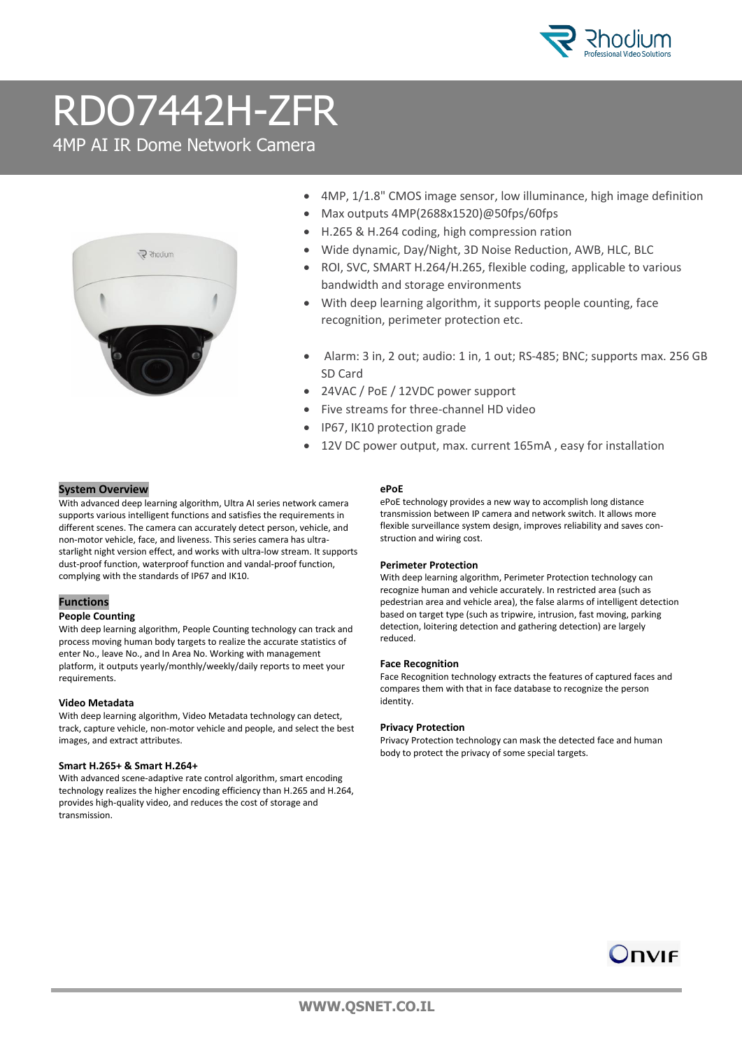

## RDO7442H-ZFR

4MP AI IR Dome Network Camera



- 4MP, 1/1.8" CMOS image sensor, low illuminance, high image definition
- Max outputs 4MP(2688x1520)@50fps/60fps
- H.265 & H.264 coding, high compression ration
- Wide dynamic, Day/Night, 3D Noise Reduction, AWB, HLC, BLC
- ROI, SVC, SMART H.264/H.265, flexible coding, applicable to various bandwidth and storage environments
- With deep learning algorithm, it supports people counting, face recognition, perimeter protection etc.
- Alarm: 3 in, 2 out; audio: 1 in, 1 out; RS-485; BNC; supports max. 256 GB SD Card
- 24VAC / PoE / 12VDC power support
- Five streams for three-channel HD video
- IP67, IK10 protection grade
- 12V DC power output, max. current 165mA , easy for installation

## **System Overview**

With advanced deep learning algorithm, Ultra AI series network camera supports various intelligent functions and satisfies the requirements in different scenes. The camera can accurately detect person, vehicle, and non-motor vehicle, face, and liveness. This series camera has ultrastarlight night version effect, and works with ultra-low stream. It supports dust-proof function, waterproof function and vandal-proof function, complying with the standards of IP67 and IK10.

## **Functions**

#### **People Counting**

With deep learning algorithm, People Counting technology can track and process moving human body targets to realize the accurate statistics of enter No., leave No., and In Area No. Working with management platform, it outputs yearly/monthly/weekly/daily reports to meet your requirements.

## **Video Metadata**

With deep learning algorithm, Video Metadata technology can detect, track, capture vehicle, non-motor vehicle and people, and select the best images, and extract attributes.

#### **Smart H.265+ & Smart H.264+**

With advanced scene-adaptive rate control algorithm, smart encoding technology realizes the higher encoding efficiency than H.265 and H.264, provides high-quality video, and reduces the cost of storage and transmission.

## **ePoE**

ePoE technology provides a new way to accomplish long distance transmission between IP camera and network switch. It allows more flexible surveillance system design, improves reliability and saves construction and wiring cost.

## **Perimeter Protection**

With deep learning algorithm, Perimeter Protection technology can recognize human and vehicle accurately. In restricted area (such as pedestrian area and vehicle area), the false alarms of intelligent detection based on target type (such as tripwire, intrusion, fast moving, parking detection, loitering detection and gathering detection) are largely reduced.

#### **Face Recognition**

Face Recognition technology extracts the features of captured faces and compares them with that in face database to recognize the person identity.

#### **Privacy Protection**

Privacy Protection technology can mask the detected face and human body to protect the privacy of some special targets.

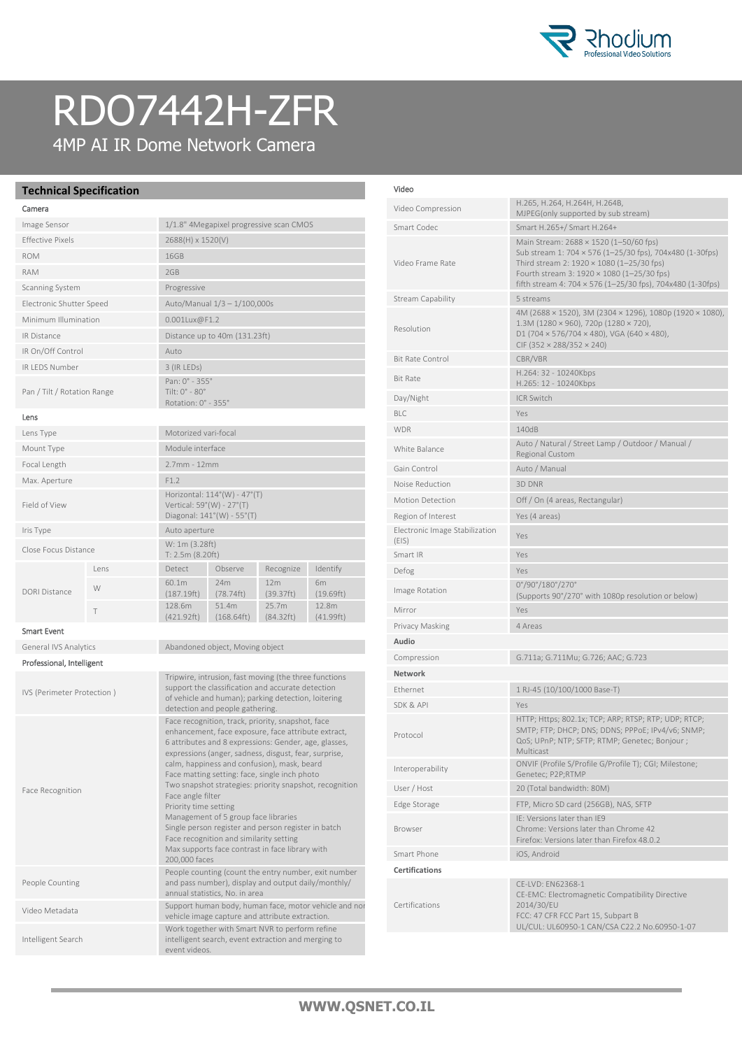

## RDO7442H-ZFR

4MP AI IR Dome Network Camera

## **Technical Specification**

| Camera                      |      |                                                                                         |                                         |                     |                             |
|-----------------------------|------|-----------------------------------------------------------------------------------------|-----------------------------------------|---------------------|-----------------------------|
| Image Sensor                |      |                                                                                         | 1/1.8" 4Megapixel progressive scan CMOS |                     |                             |
| <b>Effective Pixels</b>     |      | 2688(H) x 1520(V)                                                                       |                                         |                     |                             |
| <b>ROM</b>                  |      | 16GB                                                                                    |                                         |                     |                             |
| <b>RAM</b>                  |      | 2GB                                                                                     |                                         |                     |                             |
| Scanning System             |      | Progressive                                                                             |                                         |                     |                             |
| Electronic Shutter Speed    |      | Auto/Manual 1/3 - 1/100,000s                                                            |                                         |                     |                             |
| Minimum Illumination        |      | $0.001$ Lux@F1.2                                                                        |                                         |                     |                             |
| <b>IR Distance</b>          |      | Distance up to 40m (131.23ft)                                                           |                                         |                     |                             |
| IR On/Off Control           |      | Auto                                                                                    |                                         |                     |                             |
| <b>IR LEDS Number</b>       |      | 3 (IR LEDs)                                                                             |                                         |                     |                             |
| Pan / Tilt / Rotation Range |      | Pan: $0^{\circ}$ - 355°<br>Tilt: 0° - 80°<br>Rotation: 0° - 355°                        |                                         |                     |                             |
| Lens                        |      |                                                                                         |                                         |                     |                             |
| Lens Type                   |      | Motorized vari-focal                                                                    |                                         |                     |                             |
| Mount Type                  |      | Module interface                                                                        |                                         |                     |                             |
| Focal Length                |      | $2.7$ mm - 12mm                                                                         |                                         |                     |                             |
| Max. Aperture               |      | F1.2                                                                                    |                                         |                     |                             |
| Field of View               |      | Horizontal: 114°(W) - 47°(T)<br>Vertical: 59°(W) - 27°(T)<br>Diagonal: 141°(W) - 55°(T) |                                         |                     |                             |
| Iris Type                   |      | Auto aperture                                                                           |                                         |                     |                             |
| Close Focus Distance        |      | W: 1m (3.28ft)<br>T: 2.5m (8.20ft)                                                      |                                         |                     |                             |
| DORI Distance               | Lens | Detect                                                                                  | Observe                                 | Recognize           | Identify                    |
|                             | W    | 60.1m<br>(187.19ft)                                                                     | 24m<br>(78.74ft)                        | 12m<br>(39.37ft)    | 6 <sub>m</sub><br>(19.69ft) |
|                             | T    | 128.6m<br>(421.92ft)                                                                    | 51.4m<br>(168.64ft)                     | 25.7m<br>(84.32 ft) | 12.8m<br>(41.99ft)          |

## Smart Event

General IVS Analytics Abandoned object, Moving object Professional, Intelligent IVS (Perimeter Protection ) Tripwire, intrusion, fast moving (the three functions support the classification and accurate detection of vehicle and human); parking detection, loitering detection and people gathering. Face Recognition Face recognition, track, priority, snapshot, face enhancement, face exposure, face attribute extract, 6 attributes and 8 expressions: Gender, age, glasses, expressions (anger, sadness, disgust, fear, surprise, calm, happiness and confusion), mask, beard Face matting setting: face, single inch photo Two snapshot strategies: priority snapshot, recognition Face angle filter Priority time setting Management of 5 group face libraries Single person register and person register in batch Face recognition and similarity setting Max supports face contrast in face library with 200,000 faces People Counting People counting (count the entry number, exit number and pass number), display and output daily/monthly/ annual statistics, No. in area Video Metadata Support human body, human face, motor vehicle and norvehicle image capture and attribute extraction. Intelligent Search Work together with Smart NVR to perform refine intelligent search, event extraction and merging to event videos.

#### Video

| Video Compression                       | Н.265, Н.264, Н.264Н, Н.264В,<br>MJPEG(only supported by sub stream)                                                                                                                                                                                        |  |  |
|-----------------------------------------|-------------------------------------------------------------------------------------------------------------------------------------------------------------------------------------------------------------------------------------------------------------|--|--|
| Smart Codec                             | Smart H.265+/ Smart H.264+                                                                                                                                                                                                                                  |  |  |
| Video Frame Rate                        | Main Stream: 2688 × 1520 (1-50/60 fps)<br>Sub stream 1: 704 × 576 (1-25/30 fps), 704x480 (1-30fps)<br>Third stream 2: 1920 × 1080 (1-25/30 fps)<br>Fourth stream 3: 1920 × 1080 (1-25/30 fps)<br>fifth stream 4: 704 x 576 (1-25/30 fps), 704x480 (1-30fps) |  |  |
| Stream Capability                       | 5 streams                                                                                                                                                                                                                                                   |  |  |
| Resolution                              | 4M (2688 × 1520), 3M (2304 × 1296), 1080p (1920 × 1080),<br>$1.3M(1280 \times 960)$ , 720p $(1280 \times 720)$ ,<br>D1 (704 $\times$ 576/704 $\times$ 480), VGA (640 $\times$ 480),<br>CIF (352 $\times$ 288/352 $\times$ 240)                              |  |  |
| <b>Bit Rate Control</b>                 | CBR/VBR                                                                                                                                                                                                                                                     |  |  |
| <b>Bit Rate</b>                         | H.264: 32 - 10240Kbps<br>H.265: 12 - 10240Kbps                                                                                                                                                                                                              |  |  |
| Day/Night                               | <b>ICR Switch</b>                                                                                                                                                                                                                                           |  |  |
| <b>BLC</b>                              | Yes                                                                                                                                                                                                                                                         |  |  |
| <b>WDR</b>                              | 140dB                                                                                                                                                                                                                                                       |  |  |
| White Balance                           | Auto / Natural / Street Lamp / Outdoor / Manual /<br>Regional Custom                                                                                                                                                                                        |  |  |
| Gain Control                            | Auto / Manual                                                                                                                                                                                                                                               |  |  |
| Noise Reduction                         | 3D DNR                                                                                                                                                                                                                                                      |  |  |
| <b>Motion Detection</b>                 | Off / On (4 areas, Rectangular)                                                                                                                                                                                                                             |  |  |
| Region of Interest                      | Yes (4 areas)                                                                                                                                                                                                                                               |  |  |
| Electronic Image Stabilization<br>(EIS) | Yes                                                                                                                                                                                                                                                         |  |  |
| Smart IR                                | Yes                                                                                                                                                                                                                                                         |  |  |
| Defog                                   | Yes                                                                                                                                                                                                                                                         |  |  |
| Image Rotation                          | 0°/90°/180°/270°<br>(Supports 90°/270° with 1080p resolution or below)                                                                                                                                                                                      |  |  |
| Mirror                                  | Yes                                                                                                                                                                                                                                                         |  |  |
| Privacy Masking                         | 4 Areas                                                                                                                                                                                                                                                     |  |  |
| Audio                                   |                                                                                                                                                                                                                                                             |  |  |
| Compression                             | G.711a; G.711Mu; G.726; AAC; G.723                                                                                                                                                                                                                          |  |  |
| <b>Network</b>                          |                                                                                                                                                                                                                                                             |  |  |
| <b>Fthernet</b>                         | 1 RJ-45 (10/100/1000 Base-T)                                                                                                                                                                                                                                |  |  |
| SDK & API                               | Yes                                                                                                                                                                                                                                                         |  |  |
| Protocol                                | HTTP; Https; 802.1x; TCP; ARP; RTSP; RTP; UDP; RTCP;<br>SMTP; FTP; DHCP; DNS; DDNS; PPPoE; IPv4/v6; SNMP;<br>QoS; UPnP; NTP; SFTP; RTMP; Genetec; Bonjour ;<br>Multicast                                                                                    |  |  |
| Interoperability                        | ONVIF (Profile S/Profile G/Profile T); CGI; Milestone;<br>Genetec; P2P;RTMP                                                                                                                                                                                 |  |  |
| User / Host                             | 20 (Total bandwidth: 80M)                                                                                                                                                                                                                                   |  |  |
| Edge Storage                            | FTP, Micro SD card (256GB), NAS, SFTP                                                                                                                                                                                                                       |  |  |
| Browser                                 | IE: Versions later than IE9<br>Chrome: Versions later than Chrome 42<br>Firefox: Versions later than Firefox 48.0.2                                                                                                                                         |  |  |
| Smart Phone                             | iOS, Android                                                                                                                                                                                                                                                |  |  |
| <b>Certifications</b>                   |                                                                                                                                                                                                                                                             |  |  |
| Certifications                          | CE-LVD: EN62368-1<br>CE-EMC: Electromagnetic Compatibility Directive<br>2014/30/EU<br>FCC: 47 CFR FCC Part 15, Subpart B<br>UL/CUL: UL60950-1 CAN/CSA C22.2 No.60950-1-07                                                                                   |  |  |
|                                         |                                                                                                                                                                                                                                                             |  |  |